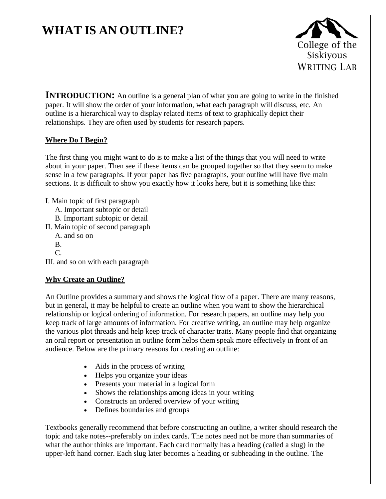# **WHAT IS AN OUTLINE?**



**INTRODUCTION:** An outline is a general plan of what you are going to write in the finished paper. It will show the order of your information, what each paragraph will discuss, etc. An outline is a hierarchical way to display related items of text to graphically depict their relationships. They are often used by students for research papers.

## **Where Do I Begin?**

The first thing you might want to do is to make a list of the things that you will need to write about in your paper. Then see if these items can be grouped together so that they seem to make sense in a few paragraphs. If your paper has five paragraphs, your outline will have five main sections. It is difficult to show you exactly how it looks here, but it is something like this:

- I. Main topic of first paragraph
	- A. Important subtopic or detail
	- B. Important subtopic or detail
- II. Main topic of second paragraph
	- A. and so on
	- B.
	- C.

III. and so on with each paragraph

## **Why Create an Outline?**

An Outline provides a summary and shows the logical flow of a paper. There are many reasons, but in general, it may be helpful to create an outline when you want to show the hierarchical relationship or logical ordering of information. For research papers, an outline may help you keep track of large amounts of information. For creative writing, an outline may help organize the various plot threads and help keep track of character traits. Many people find that organizing an oral report or presentation in outline form helps them speak more effectively in front of an audience. Below are the primary reasons for creating an outline:

- Aids in the process of writing
- Helps you organize your ideas
- Presents your material in a logical form
- Shows the relationships among ideas in your writing
- Constructs an ordered overview of your writing
- Defines boundaries and groups

Textbooks generally recommend that before constructing an outline, a writer should research the topic and take notes--preferably on index cards. The notes need not be more than summaries of what the author thinks are important. Each card normally has a heading (called a slug) in the upper-left hand corner. Each slug later becomes a heading or subheading in the outline. The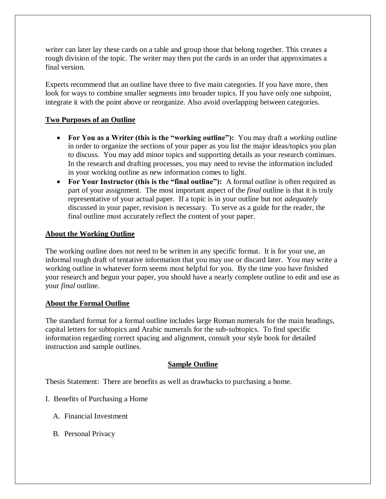writer can later lay these cards on a table and group those that belong together. This creates a rough division of the topic. The writer may then put the cards in an order that approximates a final version.

Experts recommend that an outline have three to five main categories. If you have more, then look for ways to combine smaller segments into broader topics. If you have only one subpoint, integrate it with the point above or reorganize. Also avoid overlapping between categories.

## **Two Purposes of an Outline**

- **For You as a Writer (this is the "working outline"):** You may draft a *working* outline in order to organize the sections of your paper as you list the major ideas/topics you plan to discuss. You may add minor topics and supporting details as your research continues. In the research and drafting processes, you may need to revise the information included in your working outline as new information comes to light.
- **For Your Instructor (this is the "final outline"):** A formal outline is often required as part of your assignment. The most important aspect of the *final* outline is that it is truly representative of your actual paper. If a topic is in your outline but not *adequately*  discussed in your paper, revision is necessary. To serve as a guide for the reader, the final outline must accurately reflect the content of your paper.

## **About the Working Outline**

The working outline does not need to be written in any specific format. It is for your use, an informal rough draft of tentative information that you may use or discard later. You may write a working outline in whatever form seems most helpful for you. By the time you have finished your research and begun your paper, you should have a nearly complete outline to edit and use as your *final* outline.

### **About the Formal Outline**

The standard format for a formal outline includes large Roman numerals for the main headings, capital letters for subtopics and Arabic numerals for the sub-subtopics. To find specific information regarding correct spacing and alignment, consult your style book for detailed instruction and sample outlines.

### **Sample Outline**

Thesis Statement: There are benefits as well as drawbacks to purchasing a home.

- I. Benefits of Purchasing a Home
	- A. Financial Investment
	- B. Personal Privacy